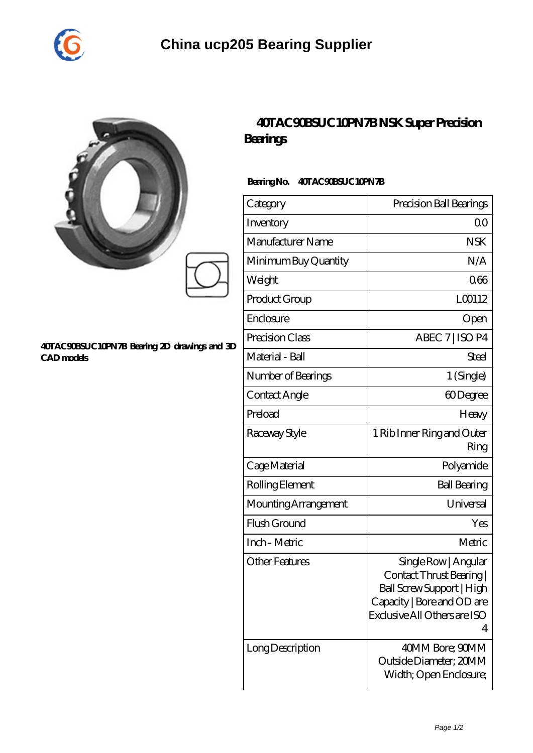

|   | $\overline{\phantom{a}}$<br>$B\!\alpha$ |
|---|-----------------------------------------|
|   | Bea                                     |
|   | Ca                                      |
| ū | Inv                                     |
|   | $M\ddot{\epsilon}$                      |
|   | Mil                                     |
|   | $\overline{\mathsf{W}}$                 |
|   | $D_{22}$                                |

## **[40TAC90BSUC10PN7B Bearing 2D drawings and 3D](https://esctools.com/pic-890740.html) [CAD models](https://esctools.com/pic-890740.html)**

## **[40TAC90BSUC10PN7B NSK Super Precision](https://esctools.com/super-precision-bearings/40tac90bsuc10pn7b.html) [Bearings](https://esctools.com/super-precision-bearings/40tac90bsuc10pn7b.html)**

## **Bearing No. 40TAC90BSUC10PN7B**

| Category              | Precision Ball Bearings                                                                                                                          |
|-----------------------|--------------------------------------------------------------------------------------------------------------------------------------------------|
| Inventory             | Q0                                                                                                                                               |
| Manufacturer Name     | <b>NSK</b>                                                                                                                                       |
| Minimum Buy Quantity  | N/A                                                                                                                                              |
| Weight                | 066                                                                                                                                              |
| Product Group         | L00112                                                                                                                                           |
| Enclosure             | Open                                                                                                                                             |
| Precision Class       | ABEC 7   ISO P4                                                                                                                                  |
| Material - Ball       | Steel                                                                                                                                            |
| Number of Bearings    | 1 (Single)                                                                                                                                       |
| Contact Angle         | 60Degree                                                                                                                                         |
| Preload               | Heavy                                                                                                                                            |
| Raceway Style         | 1 Rib Inner Ring and Outer<br>Ring                                                                                                               |
| Cage Material         | Polyamide                                                                                                                                        |
| Rolling Element       | <b>Ball Bearing</b>                                                                                                                              |
| Mounting Arrangement  | Universal                                                                                                                                        |
| Flush Ground          | Yes                                                                                                                                              |
| Inch - Metric         | Metric                                                                                                                                           |
| <b>Other Features</b> | Single Row   Angular<br>Contact Thrust Bearing  <br>Ball Screw Support   High<br>Capacity   Bore and OD are<br>Exclusive All Others are ISO<br>4 |
| Long Description      | 40MM Bore; 90MM<br>Outside Diameter; 20MM<br>Width; Open Enclosure;                                                                              |